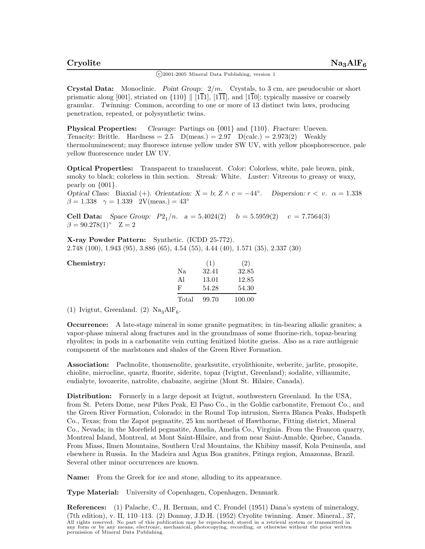$\binom{c}{2001-2005}$  Mineral Data Publishing, version 1

**Crystal Data:** Monoclinic. *Point Group:* 2*/m.* Crystals, to 3 cm, are pseudocubic or short prismatic along [001], striated on  $\{110\}$  || [1 $\overline{11}$ ],  $[1\overline{11}]$ , and [1 $\overline{10}$ ]; typically massive or coarsely granular. *Twinning:* Common, according to one or more of 13 distinct twin laws, producing penetration, repeated, or polysynthetic twins.

**Physical Properties:** *Cleavage:* Partings on {001} and {110}. *Fracture:* Uneven. *Tenacity:* Brittle. Hardness = 2.5  $D(meas.) = 2.97 \ D(calc.) = 2.973(2)$  Weakly thermoluminescent; may fluoresce intense yellow under SW UV, with yellow phosphorescence, pale yellow fluorescence under LW UV.

**Optical Properties:** Transparent to translucent. *Color:* Colorless, white, pale brown, pink, smoky to black; colorless in thin section. *Streak:* White. *Luster:* Vitreous to greasy or waxy, pearly on {001}.

*Optical Class:* Biaxial (+). *Orientation:*  $X = b$ ;  $Z \wedge c = -44^\circ$ . *Dispersion:*  $r < v$ .  $\alpha = 1.338$  $\beta = 1.338 \quad \gamma = 1.339 \quad 2V(meas.) = 43°$ 

**Cell Data:** *Space Group:*  $P2_1/n$ .  $a = 5.4024(2)$   $b = 5.5959(2)$   $c = 7.7564(3)$  $\beta = 90.278(1)$ ° Z = 2

**X-ray Powder Pattern:** Synthetic. (ICDD 25-772). 2.748 (100), 1.943 (95), 3.886 (65), 4.54 (55), 4.44 (40), 1.571 (35), 2.337 (30)

| Chemistry: |       | (1)   | $\left( 2\right)$ |
|------------|-------|-------|-------------------|
|            | Na    | 32.41 | 32.85             |
|            | Al    | 13.01 | 12.85             |
|            | F     | 54.28 | 54.30             |
|            | Total | 99.70 | 100.00            |

(1) Ivigtut, Greenland. (2)  $\text{Na}_3\text{AlF}_6$ .

**Occurrence:** A late-stage mineral in some granite pegmatites; in tin-bearing alkalic granites; a vapor-phase mineral along fractures and in the groundmass of some fluorine-rich, topaz-bearing rhyolites; in pods in a carbonatite vein cutting fenitized biotite gneiss. Also as a rare authigenic component of the marlstones and shales of the Green River Formation.

**Association:** Pachnolite, thomsenolite, gearksutite, cryolithionite, weberite, jarlite, prosopite, chiolite, microcline, quartz, fluorite, siderite, topaz (Ivigtut, Greenland); sodalite, villiaumite, eudialyte, lovozerite, natrolite, chabazite, aegirine (Mont St. Hilaire, Canada).

**Distribution:** Formerly in a large deposit at Ivigtut, southwestern Greenland. In the USA, from St. Peters Dome, near Pikes Peak, El Paso Co., in the Goldie carbonatite, Fremont Co., and the Green River Formation, Colorado; in the Round Top intrusion, Sierra Blanca Peaks, Hudspeth Co., Texas; from the Zapot pegmatite, 25 km northeast of Hawthorne, Fitting district, Mineral Co., Nevada; in the Morefield pegmatite, Amelia, Amelia Co., Virginia. From the Francon quarry, Montreal Island, Montreal, at Mont Saint-Hilaire, and from near Saint-Amable, Quebec, Canada. From Miass, Ilmen Mountains, Southern Ural Mountains, the Khibiny massif, Kola Peninsula, and elsewhere in Russia. In the Madeira and Agua Boa granites, Pitinga region, Amazonas, Brazil. Several other minor occurrences are known.

**Name:** From the Greek for *ice* and *stone*, alluding to its appearance.

**Type Material:** University of Copenhagen, Copenhagen, Denmark.

**References:** (1) Palache, C., H. Berman, and C. Frondel (1951) Dana's system of mineralogy, (7th edition), v. II, 110–113. (2) Donnay, J.D.H. (1952) Cryolite twinning. Amer. Mineral., 37, All rights reserved. No part of this publication may be reproduced, stored in a retrieval system or transmitted in<br>any form or by any means, electronic, mechanical, photocopying, recording, or otherwise without the prior w permission of Mineral Data Publishing.